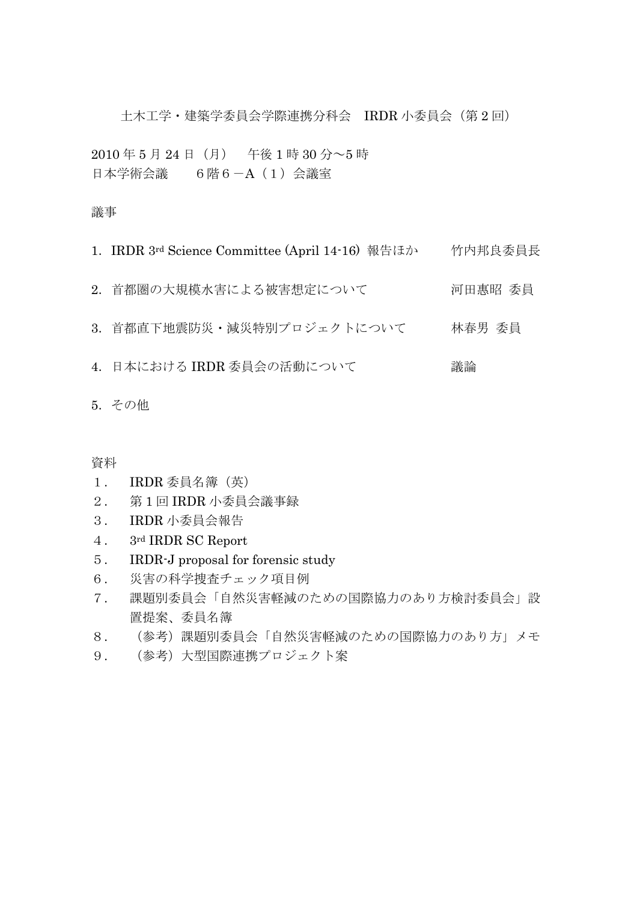土木工学・建築学委員会学際連携分科会 IRDR 小委員会(第 2 回)

2010 年 5 月 24 日(月) 午後 1 時 30 分~5 時 日本学術会議 6階6-A(1)会議室

## 議事

- 1. IRDR 3rd Science Committee (April 14-16) 報告ほか 竹内邦良委員長
- 2.首都圏の大規模水害による被害想定について 河田惠昭 委員
- 3.首都直下地震防災・減災特別プロジェクトについて 林春男 委員
- 4. 日本における IRDR 委員会の活動について まんにゅう 議論

5.その他

資料

- 1. IRDR 委員名簿(英)
- 2. 第 1 回 IRDR 小委員会議事録
- 3. IRDR 小委員会報告
- 4. 3rd IRDR SC Report
- 5. IRDR-J proposal for forensic study
- 6. 災害の科学捜査チェック項目例
- 7. 課題別委員会「自然災害軽減のための国際協力のあり方検討委員会」設 置提案、委員名簿
- 8. (参考)課題別委員会「自然災害軽減のための国際協力のあり方」メモ
- 9. (参考)大型国際連携プロジェクト案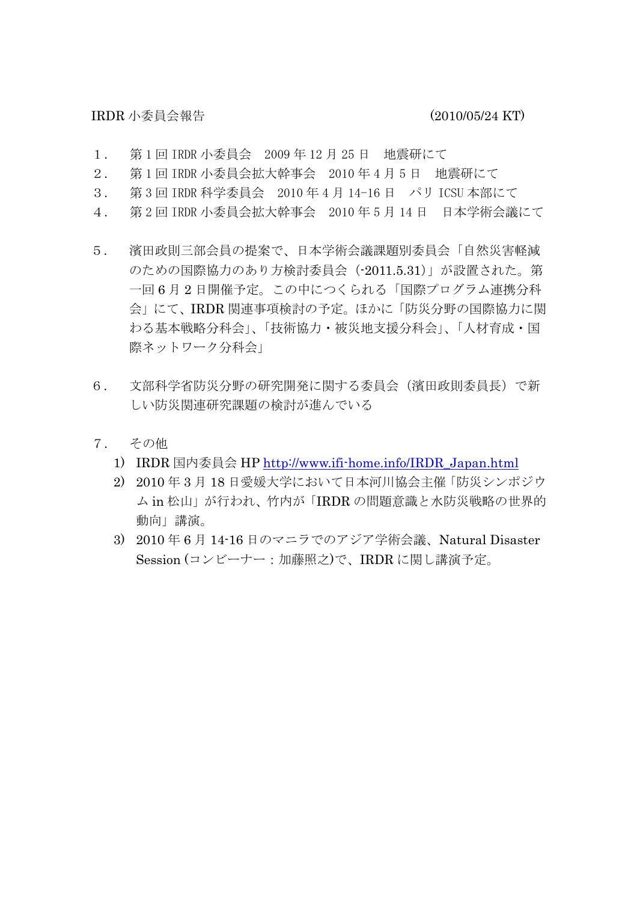IRDR 小委員会報告 (2010/05/24 KT)

- 1. 第 1 回 IRDR 小委員会 2009 年 12 月 25 日 地震研にて
- 2. 第 1 回 IRDR 小委員会拡大幹事会 2010 年 4 月 5 日 地震研にて
- 3. 第 3 回 IRDR 科学委員会 2010年4月 14-16 日 パリ ICSU 本部にて
- 4. 第 2 回 IRDR 小委員会拡大幹事会 2010 年 5 月 14 日 日本学術会議にて
- 5. 濱田政則三部会員の提案で、日本学術会議課題別委員会「自然災害軽減 のための国際協力のあり方検討委員会(-2011.5.31)」が設置された。第 一回 6 月 2 日開催予定。この中につくられる「国際プログラム連携分科 会」にて、IRDR 関連事項検討の予定。ほかに「防災分野の国際協力に関 わる基本戦略分科会」、「技術協力・被災地支援分科会」、「人材育成・国 際ネットワーク分科会」
- 6. 文部科学省防災分野の研究開発に関する委員会(濱田政則委員長)で新 しい防災関連研究課題の検討が進んでいる
- 7. その他
	- 1) IRDR 国内委員会 HP http://www.ifi-home.info/IRDR\_Japan.html
	- 2) 2010 年 3 月 18 日愛媛大学において日本河川協会主催「防災シンポジウ ム in 松山」が行われ、竹内が「IRDR の問題意識と水防災戦略の世界的 動向」講演。
	- 3) 2010 年 6 月 14-16 日のマニラでのアジア学術会議、Natural Disaster Session (コンビーナー:加藤照之)で、IRDR に関し講演予定。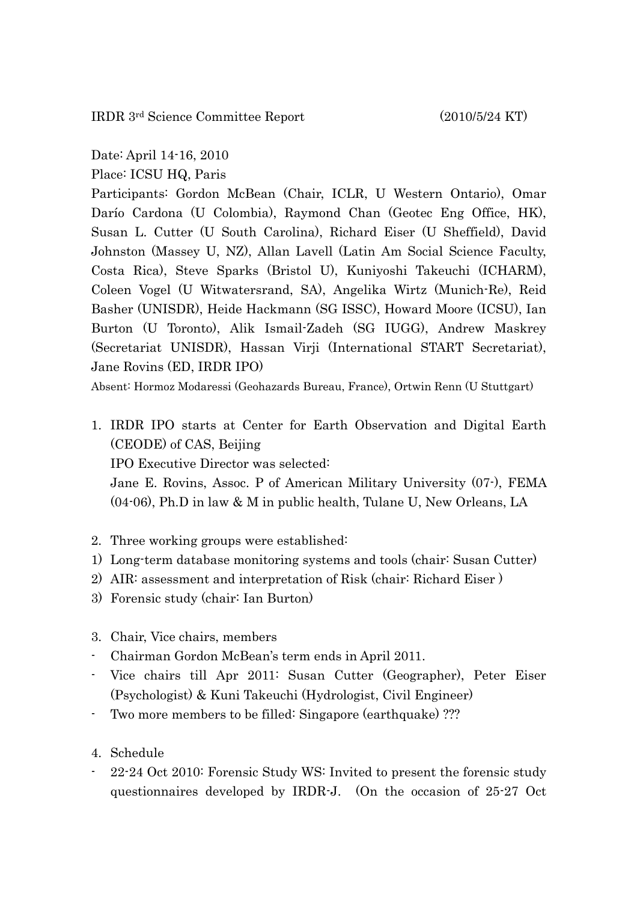IRDR 3rd Science Committee Report (2010/5/24 KT)

Date: April 14-16, 2010

Place: ICSU HQ, Paris

Participants: Gordon McBean (Chair, ICLR, U Western Ontario), Omar Darío Cardona (U Colombia), Raymond Chan (Geotec Eng Office, HK), Susan L. Cutter (U South Carolina), Richard Eiser (U Sheffield), David Johnston (Massey U, NZ), Allan Lavell (Latin Am Social Science Faculty, Costa Rica), Steve Sparks (Bristol U), Kuniyoshi Takeuchi (ICHARM), Coleen Vogel (U Witwatersrand, SA), Angelika Wirtz (Munich-Re), Reid Basher (UNISDR), Heide Hackmann (SG ISSC), Howard Moore (ICSU), Ian Burton (U Toronto), Alik Ismail-Zadeh (SG IUGG), Andrew Maskrey (Secretariat UNISDR), Hassan Virji (International START Secretariat), Jane Rovins (ED, IRDR IPO)

Absent: Hormoz Modaressi (Geohazards Bureau, France), Ortwin Renn (U Stuttgart)

1. IRDR IPO starts at Center for Earth Observation and Digital Earth (CEODE) of CAS, Beijing

IPO Executive Director was selected:

Jane E. Rovins, Assoc. P of American Military University (07-), FEMA (04-06), Ph.D in law & M in public health, Tulane U, New Orleans, LA

- 2. Three working groups were established:
- 1) Long-term database monitoring systems and tools (chair: Susan Cutter)
- 2) AIR: assessment and interpretation of Risk (chair: Richard Eiser )
- 3) Forensic study (chair: Ian Burton)
- 3. Chair, Vice chairs, members
- Chairman Gordon McBean's term ends in April 2011.
- Vice chairs till Apr 2011: Susan Cutter (Geographer), Peter Eiser (Psychologist) & Kuni Takeuchi (Hydrologist, Civil Engineer)
- Two more members to be filled: Singapore (earthquake) ???
- 4. Schedule
- 22-24 Oct 2010: Forensic Study WS: Invited to present the forensic study questionnaires developed by IRDR-J. (On the occasion of 25-27 Oct